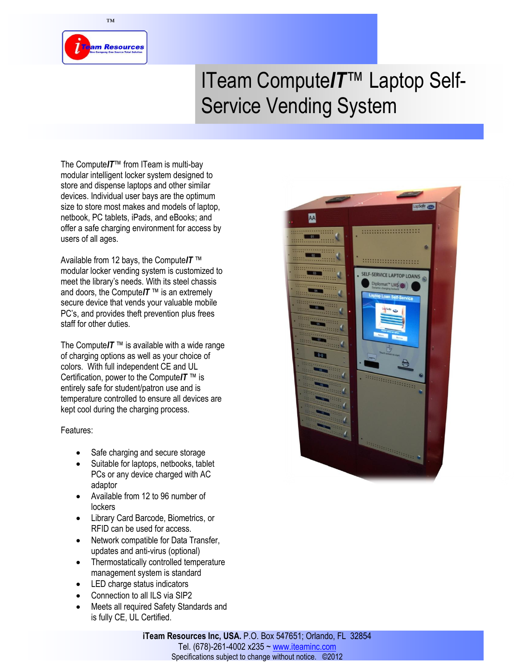

™

# ITeam Compute*IT*™ Laptop Self-Service Vending System

The Compute*IT*™ from ITeam is multi-bay modular intelligent locker system designed to store and dispense laptops and other similar devices. Individual user bays are the optimum size to store most makes and models of laptop, netbook, PC tablets, iPads, and eBooks; and offer a safe charging environment for access by users of all ages.

Available from 12 bays, the Compute*IT* ™ modular locker vending system is customized to meet the library's needs. With its steel chassis and doors, the Compute*IT* ™ is an extremely secure device that vends your valuable mobile PC's, and provides theft prevention plus frees staff for other duties.

The Compute $IT$ <sup>™</sup> is available with a wide range of charging options as well as your choice of colors. With full independent CE and UL Certification, power to the Compute*IT* ™ is entirely safe for student/patron use and is temperature controlled to ensure all devices are kept cool during the charging process.

#### Features:

- Safe charging and secure storage
- Suitable for laptops, netbooks, tablet PCs or any device charged with AC adaptor
- Available from 12 to 96 number of lockers
- Library Card Barcode, Biometrics, or RFID can be used for access.
- Network compatible for Data Transfer, updates and anti-virus (optional)
- Thermostatically controlled temperature management system is standard
- LED charge status indicators
- Connection to all ILS via SIP2
- Meets all required Safety Standards and is fully CE, UL Certified.



**iTeam Resources Inc, USA.** P.O. Box 547651; Orlando, FL 32854 Tel. (678)-261-4002 x235 ~ www.iteaminc.com Specifications subject to change without notice. ©2012